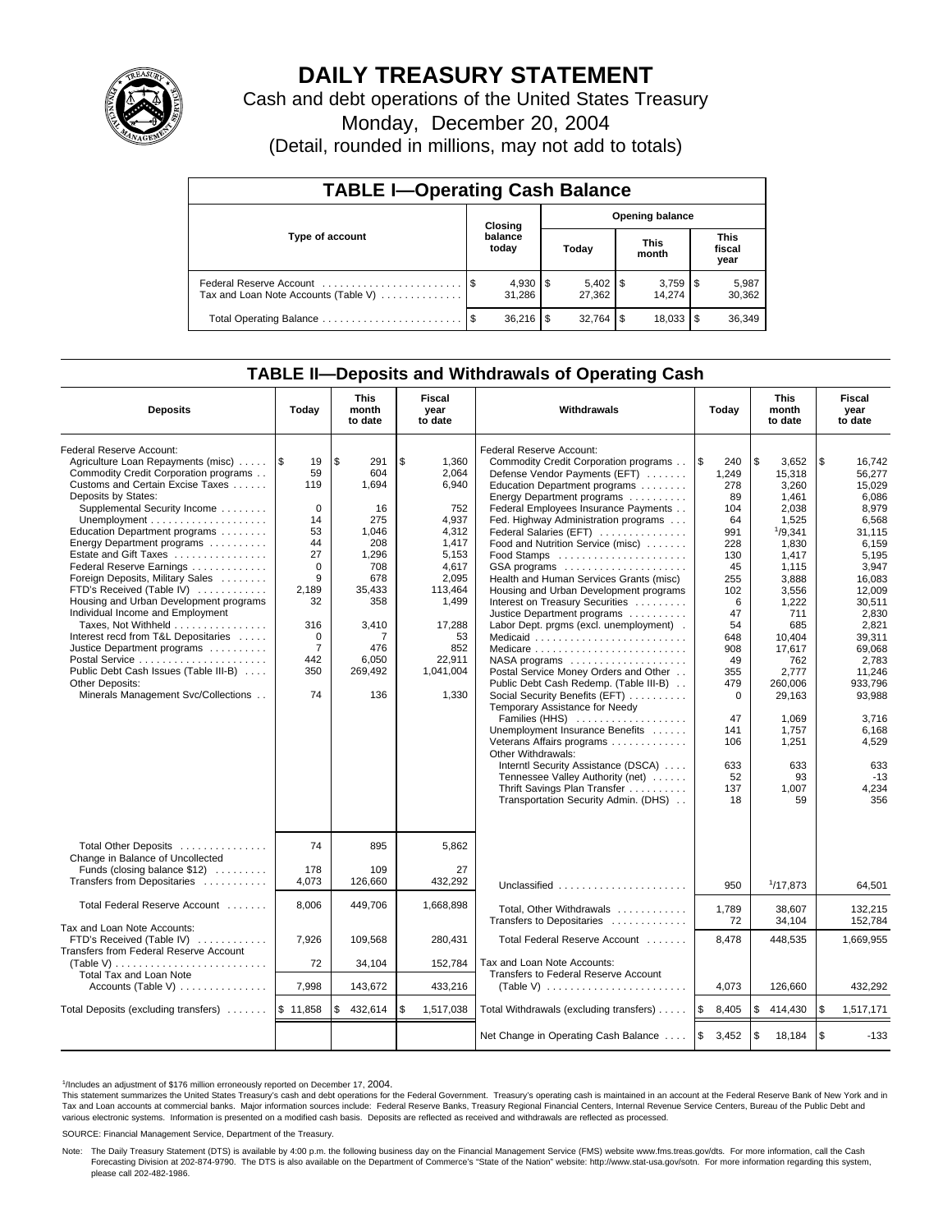

# **DAILY TREASURY STATEMENT**

Cash and debt operations of the United States Treasury

Monday, December 20, 2004

(Detail, rounded in millions, may not add to totals)

| <b>TABLE I-Operating Cash Balance</b> |      |                  |    |                        |                      |        |                               |                 |  |  |
|---------------------------------------|------|------------------|----|------------------------|----------------------|--------|-------------------------------|-----------------|--|--|
| Type of account                       |      | Closing          |    | <b>Opening balance</b> |                      |        |                               |                 |  |  |
|                                       |      | balance<br>today |    | Today                  | <b>This</b><br>month |        | <b>This</b><br>fiscal<br>year |                 |  |  |
| Tax and Loan Note Accounts (Table V)  |      | 31.286           |    | 27,362                 |                      | 14.274 |                               | 5,987<br>30,362 |  |  |
| Total Operating Balance               | - \$ | 36.216           | \$ | 32.764                 | -\$                  | 18,033 |                               | 36,349          |  |  |

### **TABLE II—Deposits and Withdrawals of Operating Cash**

| <b>Deposits</b>                                                                                                                                                                                                                                                                                                                                                                                                                                                                                                                                                                                                                                                          | Today                                                                                                                                                 | <b>This</b><br>month<br>to date                                                                                                                | <b>Fiscal</b><br>year<br>to date                                                                                                                                | Withdrawals                                                                                                                                                                                                                                                                                                                                                                                                                                                                                                                                                                                                                                                                                                                                                                                                                                                                                                                                                                                                                                               | <b>This</b><br>Today<br>month<br>to date                                                                                                                                                                |                                                                                                                                                                                                                                                           | Fiscal<br>year<br>to date                                                                                                                                                                                                                                               |
|--------------------------------------------------------------------------------------------------------------------------------------------------------------------------------------------------------------------------------------------------------------------------------------------------------------------------------------------------------------------------------------------------------------------------------------------------------------------------------------------------------------------------------------------------------------------------------------------------------------------------------------------------------------------------|-------------------------------------------------------------------------------------------------------------------------------------------------------|------------------------------------------------------------------------------------------------------------------------------------------------|-----------------------------------------------------------------------------------------------------------------------------------------------------------------|-----------------------------------------------------------------------------------------------------------------------------------------------------------------------------------------------------------------------------------------------------------------------------------------------------------------------------------------------------------------------------------------------------------------------------------------------------------------------------------------------------------------------------------------------------------------------------------------------------------------------------------------------------------------------------------------------------------------------------------------------------------------------------------------------------------------------------------------------------------------------------------------------------------------------------------------------------------------------------------------------------------------------------------------------------------|---------------------------------------------------------------------------------------------------------------------------------------------------------------------------------------------------------|-----------------------------------------------------------------------------------------------------------------------------------------------------------------------------------------------------------------------------------------------------------|-------------------------------------------------------------------------------------------------------------------------------------------------------------------------------------------------------------------------------------------------------------------------|
| Federal Reserve Account:<br>Agriculture Loan Repayments (misc)  S<br>Commodity Credit Corporation programs<br>Customs and Certain Excise Taxes<br>Deposits by States:<br>Supplemental Security Income<br>Education Department programs<br>Energy Department programs<br>Estate and Gift Taxes<br>Federal Reserve Earnings<br>Foreign Deposits, Military Sales<br>FTD's Received (Table IV)<br>Housing and Urban Development programs<br>Individual Income and Employment<br>Taxes, Not Withheld<br>Interest recd from T&L Depositaries<br>Justice Department programs<br>Public Debt Cash Issues (Table III-B)<br>Other Deposits:<br>Minerals Management Svc/Collections | 19<br>59<br>119<br>$\mathbf 0$<br>14<br>53<br>44<br>27<br>$\mathbf 0$<br>9<br>2.189<br>32<br>316<br>$\mathbf 0$<br>$\overline{7}$<br>442<br>350<br>74 | \$<br>291<br>604<br>1,694<br>16<br>275<br>1,046<br>208<br>1,296<br>708<br>678<br>35,433<br>358<br>3,410<br>7<br>476<br>6,050<br>269,492<br>136 | \$<br>1,360<br>2.064<br>6,940<br>752<br>4.937<br>4,312<br>1,417<br>5.153<br>4,617<br>2,095<br>113.464<br>1,499<br>17,288<br>852<br>22.911<br>1,041,004<br>1,330 | Federal Reserve Account:<br>Commodity Credit Corporation programs<br>Defense Vendor Payments (EFT)<br>Education Department programs<br>Energy Department programs<br>Federal Employees Insurance Payments<br>Fed. Highway Administration programs<br>Federal Salaries (EFT)<br>Food and Nutrition Service (misc)<br>Food Stamps<br>GSA programs<br>Health and Human Services Grants (misc)<br>Housing and Urban Development programs<br>Interest on Treasury Securities<br>Justice Department programs<br>Labor Dept. prgms (excl. unemployment).<br>53<br>Medicaid<br>Medicare<br>$NASA$ programs $\ldots \ldots \ldots \ldots \ldots$<br>Postal Service Money Orders and Other<br>Public Debt Cash Redemp. (Table III-B)<br>Social Security Benefits (EFT)<br>Temporary Assistance for Needy<br>Families (HHS)<br>Unemployment Insurance Benefits<br>Veterans Affairs programs<br>Other Withdrawals:<br>Interntl Security Assistance (DSCA)<br>Tennessee Valley Authority (net)<br>Thrift Savings Plan Transfer<br>Transportation Security Admin. (DHS) | l \$<br>240<br>1,249<br>278<br>89<br>104<br>64<br>991<br>228<br>130<br>45<br>255<br>102<br>6<br>47<br>54<br>648<br>908<br>49<br>355<br>479<br>$\mathbf 0$<br>47<br>141<br>106<br>633<br>52<br>137<br>18 | \$.<br>3.652<br>15,318<br>3,260<br>1,461<br>2,038<br>1,525<br>1/9,341<br>1,830<br>1,417<br>1,115<br>3,888<br>3.556<br>1,222<br>711<br>685<br>10,404<br>17.617<br>762<br>2.777<br>260,006<br>29,163<br>1.069<br>1,757<br>1,251<br>633<br>93<br>1.007<br>59 | \$<br>16.742<br>56.277<br>15,029<br>6,086<br>8,979<br>6.568<br>31.115<br>6,159<br>5,195<br>3,947<br>16,083<br>12.009<br>30.511<br>2,830<br>2.821<br>39.311<br>69.068<br>2.783<br>11.246<br>933,796<br>93,988<br>3.716<br>6,168<br>4,529<br>633<br>$-13$<br>4,234<br>356 |
| Total Other Deposits<br>Change in Balance of Uncollected<br>Funds (closing balance \$12)<br>Transfers from Depositaries                                                                                                                                                                                                                                                                                                                                                                                                                                                                                                                                                  | 74<br>178<br>4,073                                                                                                                                    | 895<br>109<br>126,660                                                                                                                          | 5,862<br>432,292                                                                                                                                                | 27<br>Unclassified                                                                                                                                                                                                                                                                                                                                                                                                                                                                                                                                                                                                                                                                                                                                                                                                                                                                                                                                                                                                                                        | 950                                                                                                                                                                                                     | 1/17,873                                                                                                                                                                                                                                                  | 64,501                                                                                                                                                                                                                                                                  |
| Total Federal Reserve Account                                                                                                                                                                                                                                                                                                                                                                                                                                                                                                                                                                                                                                            | 8.006                                                                                                                                                 | 449.706                                                                                                                                        | 1,668,898                                                                                                                                                       | Total, Other Withdrawals                                                                                                                                                                                                                                                                                                                                                                                                                                                                                                                                                                                                                                                                                                                                                                                                                                                                                                                                                                                                                                  | 1,789                                                                                                                                                                                                   | 38,607                                                                                                                                                                                                                                                    | 132.215                                                                                                                                                                                                                                                                 |
| Tax and Loan Note Accounts:<br>FTD's Received (Table IV)<br>Transfers from Federal Reserve Account                                                                                                                                                                                                                                                                                                                                                                                                                                                                                                                                                                       | 7,926<br>72                                                                                                                                           | 109,568<br>34,104                                                                                                                              | 280,431<br>152,784                                                                                                                                              | Transfers to Depositaries<br>Total Federal Reserve Account<br>Tax and Loan Note Accounts:                                                                                                                                                                                                                                                                                                                                                                                                                                                                                                                                                                                                                                                                                                                                                                                                                                                                                                                                                                 | 72<br>8,478                                                                                                                                                                                             | 34,104<br>448,535                                                                                                                                                                                                                                         | 152,784<br>1,669,955                                                                                                                                                                                                                                                    |
| Total Tax and Loan Note<br>Accounts (Table V)                                                                                                                                                                                                                                                                                                                                                                                                                                                                                                                                                                                                                            | 7.998                                                                                                                                                 | 143,672                                                                                                                                        | 433,216                                                                                                                                                         | Transfers to Federal Reserve Account<br>(Table V) $\ldots \ldots \ldots \ldots \ldots \ldots \ldots$                                                                                                                                                                                                                                                                                                                                                                                                                                                                                                                                                                                                                                                                                                                                                                                                                                                                                                                                                      | 4.073                                                                                                                                                                                                   | 126,660                                                                                                                                                                                                                                                   | 432.292                                                                                                                                                                                                                                                                 |
| Total Deposits (excluding transfers)                                                                                                                                                                                                                                                                                                                                                                                                                                                                                                                                                                                                                                     | \$11,858                                                                                                                                              | 432,614<br>\$                                                                                                                                  | \$<br>1,517,038                                                                                                                                                 | Total Withdrawals (excluding transfers)                                                                                                                                                                                                                                                                                                                                                                                                                                                                                                                                                                                                                                                                                                                                                                                                                                                                                                                                                                                                                   | ۱\$<br>8,405                                                                                                                                                                                            | ۱\$<br>414,430                                                                                                                                                                                                                                            | \$<br>1,517,171                                                                                                                                                                                                                                                         |
|                                                                                                                                                                                                                                                                                                                                                                                                                                                                                                                                                                                                                                                                          |                                                                                                                                                       |                                                                                                                                                |                                                                                                                                                                 | Net Change in Operating Cash Balance                                                                                                                                                                                                                                                                                                                                                                                                                                                                                                                                                                                                                                                                                                                                                                                                                                                                                                                                                                                                                      | 1\$<br>3,452                                                                                                                                                                                            | $\sqrt{3}$<br>18,184                                                                                                                                                                                                                                      | \$<br>$-133$                                                                                                                                                                                                                                                            |

<sup>&</sup>lt;sup>1</sup>/Includes an adjustment of \$176 million erroneously reported on December 17, 2004.

This statement summarizes the United States Treasury's cash and debt operations for the Federal Government. Treasury's operating cash is maintained in an account at the Federal Reserve Bank of New York and in Tax and Loan accounts at commercial banks. Major information sources include: Federal Reserve Banks, Treasury Regional Financial Centers, Internal Revenue Service Centers, Bureau of the Public Debt and<br>various electronic s

SOURCE: Financial Management Service, Department of the Treasury.

Note: The Daily Treasury Statement (DTS) is available by 4:00 p.m. the following business day on the Financial Management Service (FMS) website www.fms.treas.gov/dts. For more information, call the Cash<br>Forecasting Divisio please call 202-482-1986.